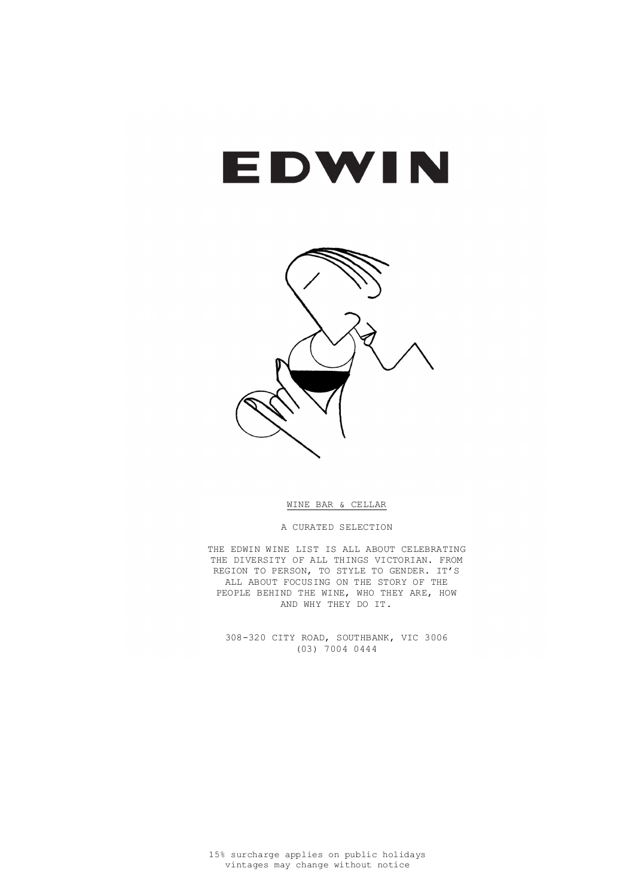# EDWIN



WINE BAR & CELLAR

A CURATED SELECTION

THE EDWIN WINE LIST IS ALL ABOUT CELEBRATING THE DIVERSITY OF ALL THINGS VICTORIAN. FROM REGION TO PERSON, TO STYLE TO GENDER. IT'S ALL ABOUT FOCUSING ON THE STORY OF THE PEOPLE BEHIND THE WINE, WHO THEY ARE, HOW AND WHY THEY DO IT.

308-320 CITY ROAD, SOUTHBANK, VIC 3006 (03) 7004 0444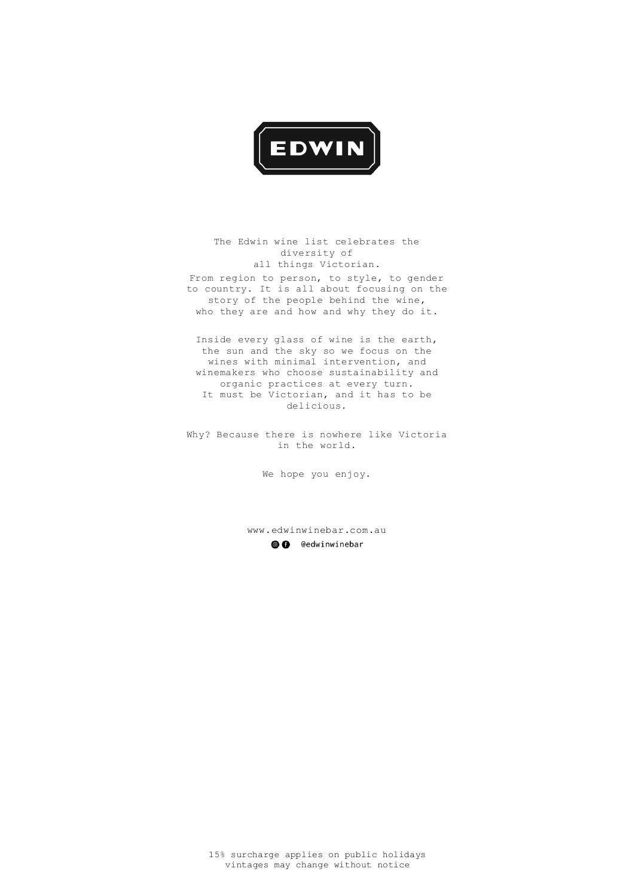

The Edwin wine list celebrates the diversity of all things Victorian. From region to person, to style, to gender to country. It is all about focusing on the story of the people behind the wine, who they are and how and why they do it.

> www.edwinwinebar.com.au© G @edwinwinebar

Inside every glass of wine is the earth, the sun and the sky so we focus on the wines with minimal intervention, and winemakers who choose sustainability and organic practices at every turn. It must be Victorian, and it has to be delicious.

Why? Because there is nowhere like Victoria in the world.

We hope you enjoy.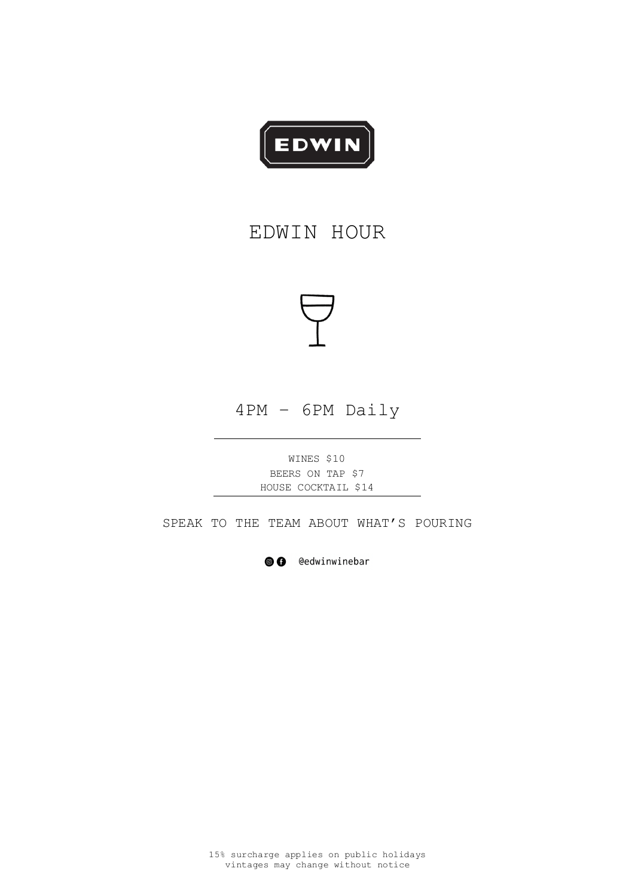

# EDWIN HOUR



4PM – 6PM Daily

WINES \$10 BEERS ON TAP \$7 HOUSE COCKTAIL \$14

SPEAK TO THE TEAM ABOUT WHAT'S POURING

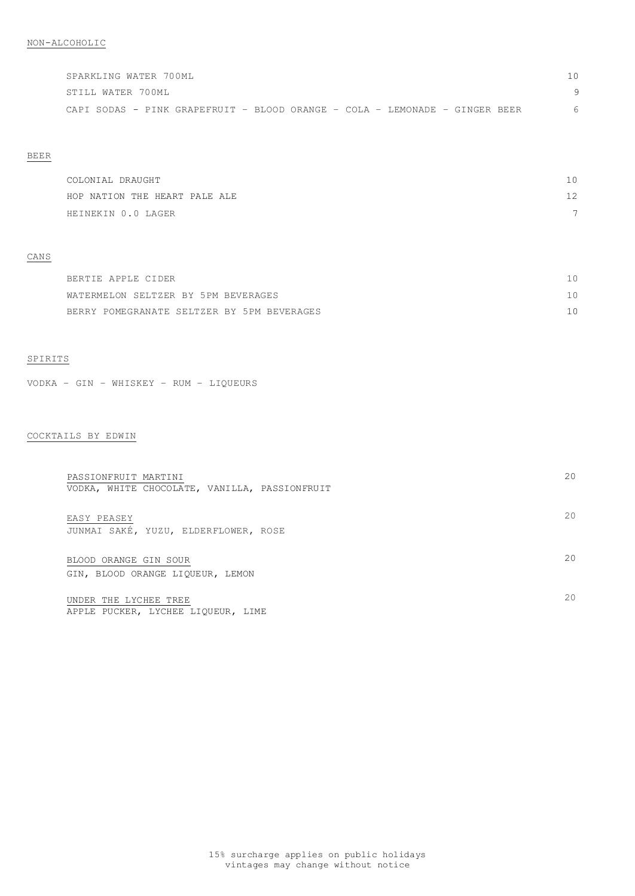| SPARKLING WATER 700ML                                                       |  |
|-----------------------------------------------------------------------------|--|
| STILL WATER 700ML                                                           |  |
| CAPI SODAS - PINK GRAPEFRUIT - BLOOD ORANGE - COLA - LEMONADE - GINGER BEER |  |

# BEER

| COLONIAL DRAUGHT              | 10                       |
|-------------------------------|--------------------------|
| HOP NATION THE HEART PALE ALE | 12                       |
| HEINEKIN 0.0 LAGER            | $\overline{\phantom{0}}$ |

#### CANS

| BERTIE APPLE CIDER                         |          |
|--------------------------------------------|----------|
| WATERMELON SELTZER BY 5PM BEVERAGES        | $10^{-}$ |
| BERRY POMEGRANATE SELTZER BY 5PM BEVERAGES |          |

# SPIRITS

VODKA – GIN – WHISKEY – RUM – LIQUEURS

# COCKTAILS BY EDWIN

| PASSIONFRUIT MARTINI<br>VODKA, WHITE CHOCOLATE, VANILLA, PASSIONFRUIT | 20 |
|-----------------------------------------------------------------------|----|
| EASY PEASEY<br>JUNMAI SAKÉ, YUZU, ELDERFLOWER, ROSE                   | 20 |
| BLOOD ORANGE GIN SOUR<br>GIN, BLOOD ORANGE LIQUEUR, LEMON             | 20 |
| UNDER THE LYCHEE TREE                                                 | 20 |

APPLE PUCKER, LYCHEE LIQUEUR, LIME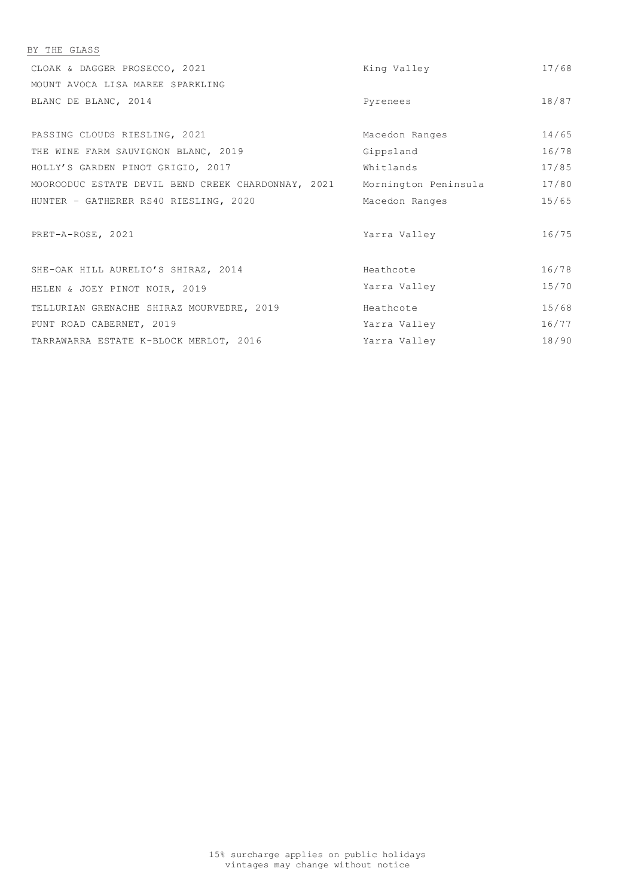| BY THE GLASS                                       |                      |       |
|----------------------------------------------------|----------------------|-------|
| CLOAK & DAGGER PROSECCO, 2021                      | King Valley          | 17/68 |
| MOUNT AVOCA LISA MAREE SPARKLING                   |                      |       |
| BLANC DE BLANC, 2014                               | Pyrenees             | 18/87 |
|                                                    |                      |       |
| PASSING CLOUDS RIESLING, 2021                      | Macedon Ranges       | 14/65 |
| THE WINE FARM SAUVIGNON BLANC, 2019                | Gippsland            | 16/78 |
| HOLLY'S GARDEN PINOT GRIGIO, 2017                  | Whitlands            | 17/85 |
| MOOROODUC ESTATE DEVIL BEND CREEK CHARDONNAY, 2021 | Mornington Peninsula | 17/80 |
| HUNTER - GATHERER RS40 RIESLING, 2020              | Macedon Ranges       | 15/65 |
| PRET-A-ROSE, 2021                                  | Yarra Valley         | 16/75 |
| SHE-OAK HILL AURELIO'S SHIRAZ, 2014                | Heathcote            | 16/78 |
| HELEN & JOEY PINOT NOIR, 2019                      | Yarra Valley         | 15/70 |
| TELLURIAN GRENACHE SHIRAZ MOURVEDRE, 2019          | Heathcote            | 15/68 |
| PUNT ROAD CABERNET, 2019                           | Yarra Valley         | 16/77 |
| TARRAWARRA ESTATE K-BLOCK MERLOT, 2016             | Yarra Valley         | 18/90 |
|                                                    |                      |       |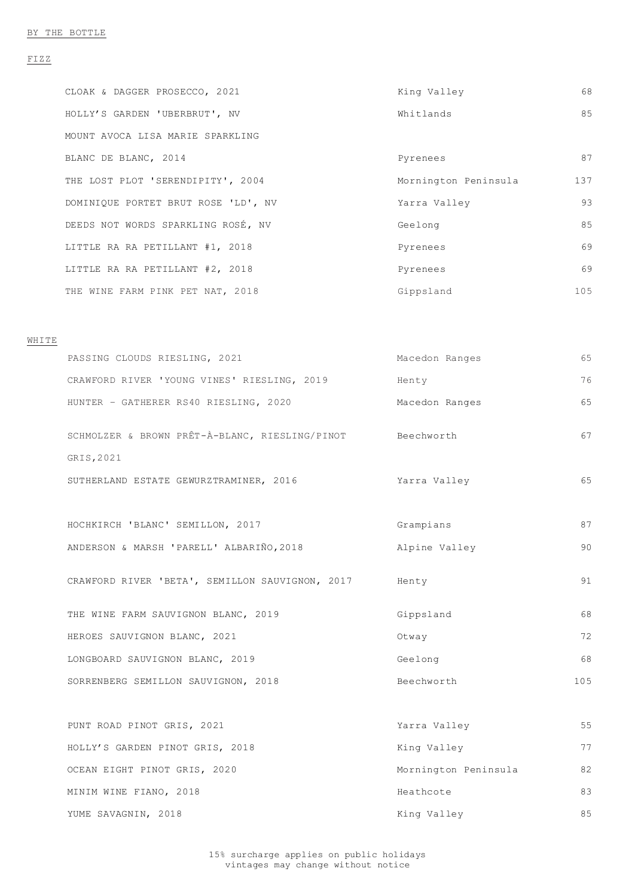#### FIZZ

| CLOAK & DAGGER PROSECCO, 2021       | King Valley          | 68  |
|-------------------------------------|----------------------|-----|
| HOLLY'S GARDEN 'UBERBRUT', NV       | Whitlands            | 85  |
| MOUNT AVOCA LISA MARIE SPARKLING    |                      |     |
| BLANC DE BLANC, 2014                | Pyrenees             | 87  |
| THE LOST PLOT 'SERENDIPITY', 2004   | Mornington Peninsula | 137 |
| DOMINIQUE PORTET BRUT ROSE 'LD', NV | Yarra Valley         | 93  |
| DEEDS NOT WORDS SPARKLING ROSÉ, NV  | Geelong              | 85  |
| LITTLE RA RA PETILLANT #1, 2018     | Pyrenees             | 69  |
| LITTLE RA RA PETILLANT #2, 2018     | Pyrenees             | 69  |
| THE WINE FARM PINK PET NAT, 2018    | Gippsland            | 105 |

#### WHITE

| PASSING CLOUDS RIESLING, 2021                                           | Macedon Ranges | 65 |
|-------------------------------------------------------------------------|----------------|----|
| CRAWFORD RIVER 'YOUNG VINES' RIESLING, 2019                             | Henty          | 76 |
| HUNTER - GATHERER RS40 RIESLING, 2020                                   | Macedon Ranges | 65 |
| SCHMOLZER & BROWN PRÊT-À-BLANC, RIESLING/PINOT Beechworth<br>GRIS, 2021 |                | 67 |
| SUTHERLAND ESTATE GEWURZTRAMINER, 2016                                  | Yarra Valley   | 65 |
| HOCHKIRCH 'BLANC' SEMILLON, 2017                                        | Grampians      | 87 |
| ANDERSON & MARSH 'PARELL' ALBARIÑO, 2018                                | Alpine Valley  | 90 |
| CRAWFORD RIVER 'BETA', SEMILLON SAUVIGNON, 2017                         | Henty          | 91 |
| THE WINE FARM SAUVIGNON BLANC, 2019                                     | Gippsland      | 68 |
| HEROES SAUVIGNON BLANC, 2021                                            | Otway          | 72 |
| LONGBOARD SAUVIGNON BLANC, 2019                                         | Geelong        | 68 |

| SORRENBERG SEMILLON SAUVIGNON, 2018 | Beechworth           | 105 |
|-------------------------------------|----------------------|-----|
| PUNT ROAD PINOT GRIS, 2021          | Yarra Valley         | 55  |
| HOLLY'S GARDEN PINOT GRIS, 2018     | King Valley          | 77  |
| OCEAN EIGHT PINOT GRIS, 2020        | Mornington Peninsula | 82  |
| MINIM WINE FIANO, 2018              | Heathcote            | 83  |
| YUME SAVAGNIN, 2018                 | King Valley          | 85  |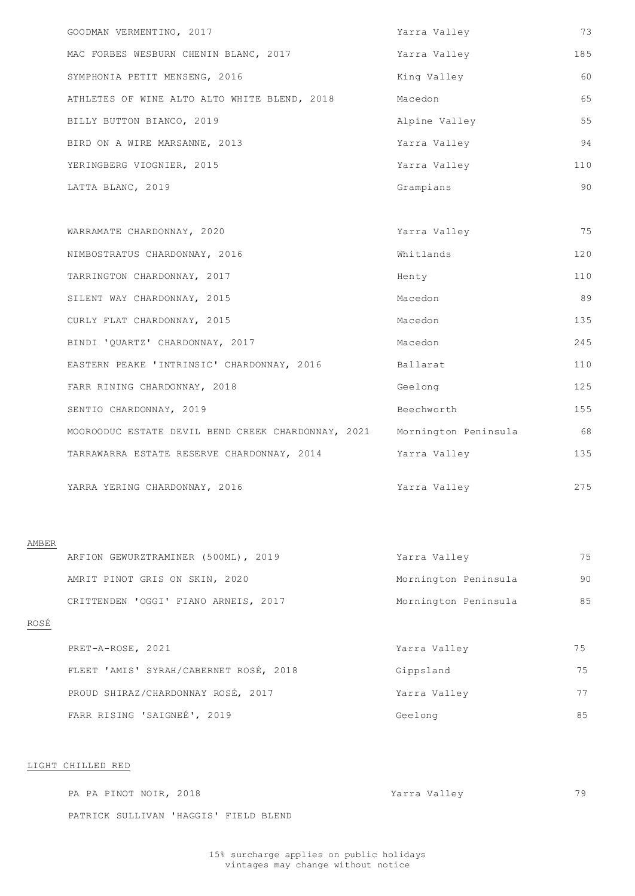| GOODMAN VERMENTINO, 2017                           | Yarra Valley         | 73  |
|----------------------------------------------------|----------------------|-----|
| MAC FORBES WESBURN CHENIN BLANC, 2017              | Yarra Valley         | 185 |
| SYMPHONIA PETIT MENSENG, 2016                      | King Valley          | 60  |
| ATHLETES OF WINE ALTO ALTO WHITE BLEND, 2018       | Macedon              | 65  |
| BILLY BUTTON BIANCO, 2019                          | Alpine Valley        | 55  |
| BIRD ON A WIRE MARSANNE, 2013                      | Yarra Valley         | 94  |
| YERINGBERG VIOGNIER, 2015                          | Yarra Valley         | 110 |
| LATTA BLANC, 2019                                  | Grampians            | 90  |
|                                                    |                      |     |
| WARRAMATE CHARDONNAY, 2020                         | Yarra Valley         | 75  |
| NIMBOSTRATUS CHARDONNAY, 2016                      | Whitlands            | 120 |
| TARRINGTON CHARDONNAY, 2017                        | Henty                | 110 |
| SILENT WAY CHARDONNAY, 2015                        | Macedon              | 89  |
| CURLY FLAT CHARDONNAY, 2015                        | Macedon              | 135 |
| BINDI 'QUARTZ' CHARDONNAY, 2017                    | Macedon              | 245 |
| EASTERN PEAKE 'INTRINSIC' CHARDONNAY, 2016         | Ballarat             | 110 |
| FARR RINING CHARDONNAY, 2018                       | Geelong              | 125 |
| SENTIO CHARDONNAY, 2019                            | Beechworth           | 155 |
| MOOROODUC ESTATE DEVIL BEND CREEK CHARDONNAY, 2021 | Mornington Peninsula | 68  |
| TARRAWARRA ESTATE RESERVE CHARDONNAY, 2014         | Yarra Valley         | 135 |
|                                                    |                      |     |

YARRA YERING CHARDONNAY, 2016 Yarra Valley

#### AMBER

| ARFION GEWURZTRAMINER (500ML), 2019  | Yarra Valley         | 75 |
|--------------------------------------|----------------------|----|
| AMRIT PINOT GRIS ON SKIN, 2020       | Mornington Peninsula | 90 |
| CRITTENDEN 'OGGI' FIANO ARNEIS, 2017 | Mornington Peninsula | 85 |

# ROSÉ

| PRET-A-ROSE, 2021 |                                        | Yarra Valley | 75 |
|-------------------|----------------------------------------|--------------|----|
|                   | FLEET 'AMIS' SYRAH/CABERNET ROSÉ, 2018 | Gippsland    |    |

| PROUD SHIRAZ/CHARDONNAY ROSÉ, 2017 | Yarra Valley |  |
|------------------------------------|--------------|--|
| FARR RISING 'SAIGNEÉ', 2019        | Geelong      |  |

LIGHT CHILLED RED

PA PA PINOT NOIR, 2018 **Yarra Valley** 79

PATRICK SULLIVAN 'HAGGIS' FIELD BLEND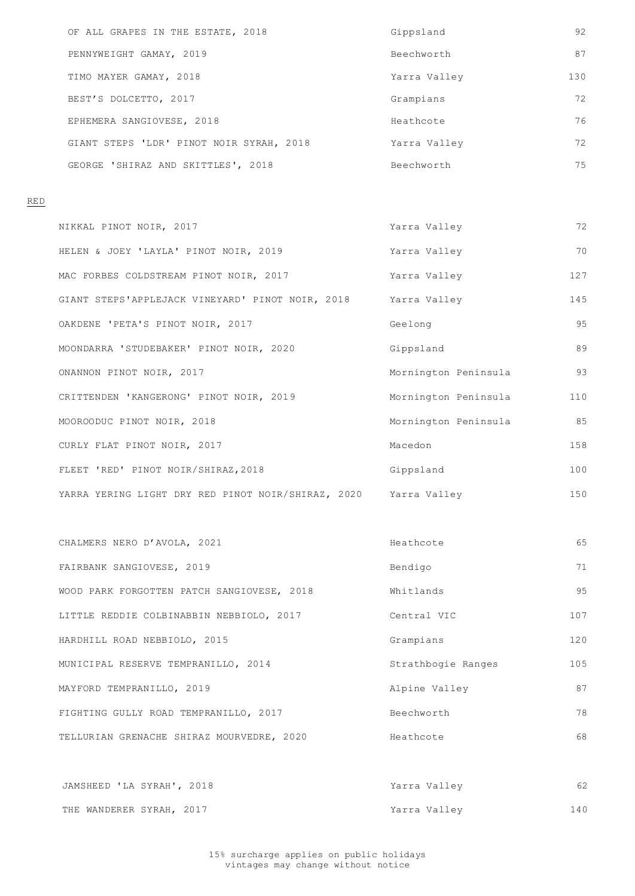| OF ALL GRAPES IN THE ESTATE, 2018        | Gippsland    | 92  |
|------------------------------------------|--------------|-----|
| PENNYWEIGHT GAMAY, 2019                  | Beechworth   | 87  |
| TIMO MAYER GAMAY, 2018                   | Yarra Valley | 130 |
| BEST'S DOLCETTO, 2017                    | Grampians    | 72  |
| EPHEMERA SANGIOVESE, 2018                | Heathcote    | 76  |
| GIANT STEPS 'LDR' PINOT NOIR SYRAH, 2018 | Yarra Valley | 72  |
| GEORGE 'SHIRAZ AND SKITTLES', 2018       | Beechworth   | 75  |

RED

| NIKKAL PINOT NOIR, 2017                                         | Yarra Valley         | 72  |
|-----------------------------------------------------------------|----------------------|-----|
| HELEN & JOEY 'LAYLA' PINOT NOIR, 2019                           | Yarra Valley         | 70  |
| MAC FORBES COLDSTREAM PINOT NOIR, 2017                          | Yarra Valley         | 127 |
| GIANT STEPS'APPLEJACK VINEYARD' PINOT NOIR, 2018                | Yarra Valley         | 145 |
| OAKDENE 'PETA'S PINOT NOIR, 2017                                | Geelong              | 95  |
| MOONDARRA 'STUDEBAKER' PINOT NOIR, 2020                         | Gippsland            | 89  |
| ONANNON PINOT NOIR, 2017                                        | Mornington Peninsula | 93  |
| CRITTENDEN 'KANGERONG' PINOT NOIR, 2019                         | Mornington Peninsula | 110 |
| MOOROODUC PINOT NOIR, 2018                                      | Mornington Peninsula | 85  |
| CURLY FLAT PINOT NOIR, 2017                                     | Macedon              | 158 |
| FLEET 'RED' PINOT NOIR/SHIRAZ, 2018                             | Gippsland            | 100 |
| YARRA YERING LIGHT DRY RED PINOT NOIR/SHIRAZ, 2020 Yarra Valley |                      | 150 |

| CHALMERS NERO D'AVOLA, 2021                | Heathcote          | 65  |
|--------------------------------------------|--------------------|-----|
| FAIRBANK SANGIOVESE, 2019                  | Bendigo            | 71  |
| WOOD PARK FORGOTTEN PATCH SANGIOVESE, 2018 | Whitlands          | 95  |
| LITTLE REDDIE COLBINABBIN NEBBIOLO, 2017   | Central VIC        | 107 |
| HARDHILL ROAD NEBBIOLO, 2015               | Grampians          | 120 |
| MUNICIPAL RESERVE TEMPRANILLO, 2014        | Strathbogie Ranges | 105 |

| MAYFORD TEMPRANILLO, 2019                 | Alpine Valley | 87  |
|-------------------------------------------|---------------|-----|
| FIGHTING GULLY ROAD TEMPRANILLO, 2017     | Beechworth    | 78  |
| TELLURIAN GRENACHE SHIRAZ MOURVEDRE, 2020 | Heathcote     | 68  |
|                                           |               |     |
| JAMSHEED 'LA SYRAH', 2018                 | Yarra Valley  | 62  |
| THE WANDERER SYRAH, 2017                  | Yarra Valley  | 140 |
|                                           |               |     |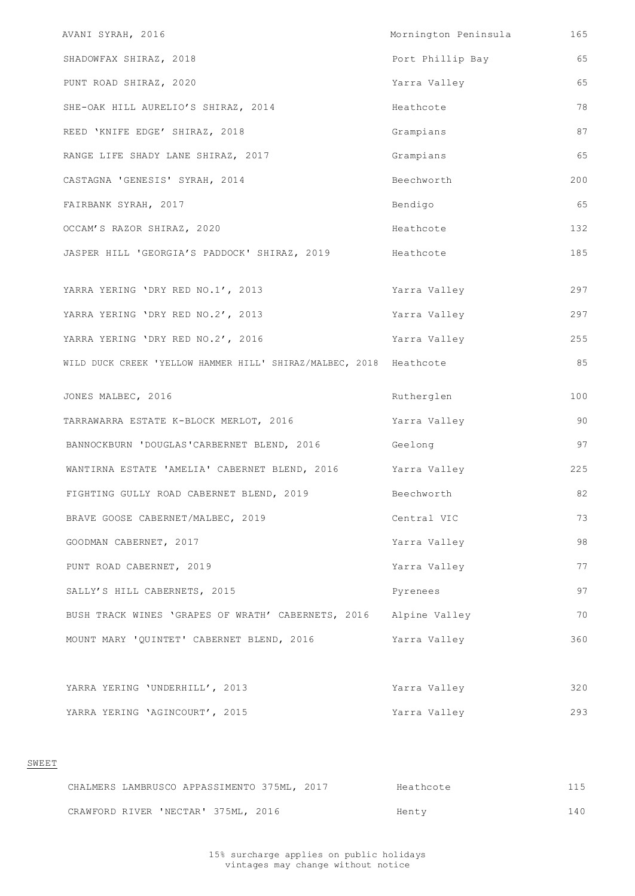| AVANI SYRAH, 2016                                                  | Mornington Peninsula | 165 |
|--------------------------------------------------------------------|----------------------|-----|
| SHADOWFAX SHIRAZ, 2018                                             | Port Phillip Bay     | 65  |
| PUNT ROAD SHIRAZ, 2020                                             | Yarra Valley         | 65  |
| SHE-OAK HILL AURELIO'S SHIRAZ, 2014                                | Heathcote            | 78  |
| REED 'KNIFE EDGE' SHIRAZ, 2018                                     | Grampians            | 87  |
| RANGE LIFE SHADY LANE SHIRAZ, 2017                                 | Grampians            | 65  |
| CASTAGNA 'GENESIS' SYRAH, 2014                                     | Beechworth           | 200 |
| FAIRBANK SYRAH, 2017                                               | Bendigo              | 65  |
| OCCAM'S RAZOR SHIRAZ, 2020                                         | Heathcote            | 132 |
| JASPER HILL 'GEORGIA'S PADDOCK' SHIRAZ, 2019                       | Heathcote            | 185 |
|                                                                    |                      |     |
| YARRA YERING 'DRY RED NO.1', 2013                                  | Yarra Valley         | 297 |
| YARRA YERING 'DRY RED NO.2', 2013                                  | Yarra Valley         | 297 |
| YARRA YERING 'DRY RED NO.2', 2016                                  | Yarra Valley         | 255 |
| WILD DUCK CREEK 'YELLOW HAMMER HILL' SHIRAZ/MALBEC, 2018 Heathcote |                      | 85  |
| JONES MALBEC, 2016                                                 | Rutherglen           | 100 |
| TARRAWARRA ESTATE K-BLOCK MERLOT, 2016                             | Yarra Valley         | 90  |
| BANNOCKBURN 'DOUGLAS'CARBERNET BLEND, 2016                         | Geelong              | 97  |
| WANTIRNA ESTATE 'AMELIA' CABERNET BLEND, 2016 Yarra Valley         |                      | 225 |
| FIGHTING GULLY ROAD CABERNET BLEND, 2019                           | Beechworth           | 82  |
| BRAVE GOOSE CABERNET/MALBEC, 2019                                  | Central VIC          | 73  |
| GOODMAN CABERNET, 2017                                             | Yarra Valley         | 98  |
| PUNT ROAD CABERNET, 2019                                           | Yarra Valley         | 77  |
| SALLY'S HILL CABERNETS, 2015                                       | Pyrenees             | 97  |
| BUSH TRACK WINES 'GRAPES OF WRATH' CABERNETS, 2016 Alpine Valley   |                      | 70  |
| MOUNT MARY 'QUINTET' CABERNET BLEND, 2016                          | Yarra Valley         | 360 |

|       | YARRA YERING 'UNDERHILL', 2013              | Yarra Valley | 320 |
|-------|---------------------------------------------|--------------|-----|
|       | YARRA YERING 'AGINCOURT', 2015              | Yarra Valley | 293 |
|       |                                             |              |     |
| SWEET |                                             |              |     |
|       | CHALMERS LAMBRUSCO APPASSIMENTO 375ML, 2017 | Heathcote    | 115 |
|       | CRAWFORD RIVER 'NECTAR' 375ML, 2016         | Henty        | 140 |
|       |                                             |              |     |